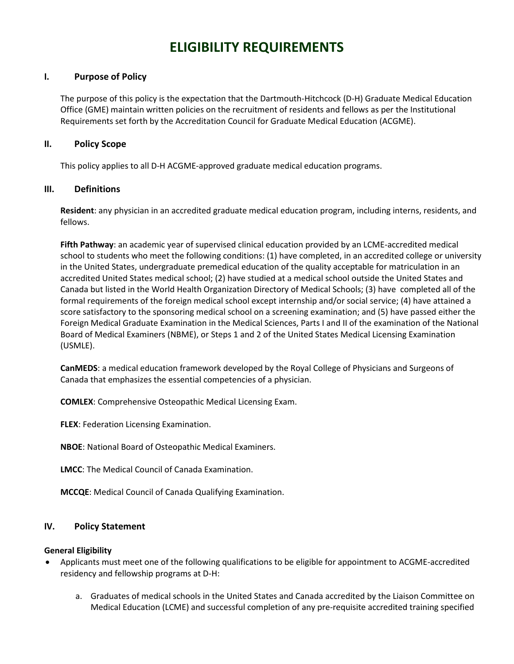# **ELIGIBILITY REQUIREMENTS**

## **I. Purpose of Policy**

The purpose of this policy is the expectation that the Dartmouth-Hitchcock (D-H) Graduate Medical Education Office (GME) maintain written policies on the recruitment of residents and fellows as per the Institutional Requirements set forth by the Accreditation Council for Graduate Medical Education (ACGME).

#### **II. Policy Scope**

This policy applies to all D-H ACGME-approved graduate medical education programs.

## **III. Definitions**

**Resident**: any physician in an accredited graduate medical education program, including interns, residents, and fellows.

**Fifth Pathway**: an academic year of supervised clinical education provided by an LCME-accredited medical school to students who meet the following conditions: (1) have completed, in an accredited college or university in the United States, undergraduate premedical education of the quality acceptable for matriculation in an accredited United States medical school; (2) have studied at a medical school outside the United States and Canada but listed in the World Health Organization Directory of Medical Schools; (3) have completed all of the formal requirements of the foreign medical school except internship and/or social service; (4) have attained a score satisfactory to the sponsoring medical school on a screening examination; and (5) have passed either the Foreign Medical Graduate Examination in the Medical Sciences, Parts I and II of the examination of the National Board of Medical Examiners (NBME), or Steps 1 and 2 of the United States Medical Licensing Examination (USMLE).

**CanMEDS**: a medical education framework developed by the Royal College of Physicians and Surgeons of Canada that emphasizes the essential competencies of a physician.

**COMLEX**: Comprehensive Osteopathic Medical Licensing Exam.

**FLEX**: Federation Licensing Examination.

**NBOE**: National Board of Osteopathic Medical Examiners.

**LMCC**: The Medical Council of Canada Examination.

**MCCQE**: Medical Council of Canada Qualifying Examination.

#### **IV. Policy Statement**

#### **General Eligibility**

- Applicants must meet one of the following qualifications to be eligible for appointment to ACGME-accredited residency and fellowship programs at D-H:
	- a. Graduates of medical schools in the United States and Canada accredited by the Liaison Committee on Medical Education (LCME) and successful completion of any pre-requisite accredited training specified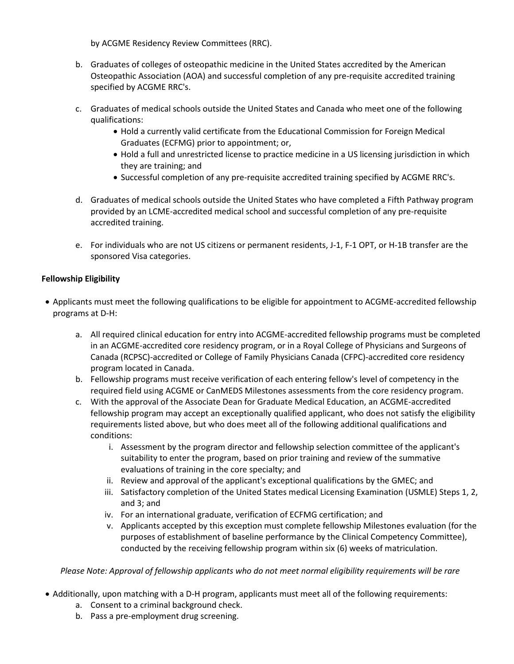by ACGME Residency Review Committees (RRC).

- b. Graduates of colleges of osteopathic medicine in the United States accredited by the American Osteopathic Association (AOA) and successful completion of any pre-requisite accredited training specified by ACGME RRC's.
- c. Graduates of medical schools outside the United States and Canada who meet one of the following qualifications:
	- Hold a currently valid certificate from the Educational Commission for Foreign Medical Graduates (ECFMG) prior to appointment; or,
	- Hold a full and unrestricted license to practice medicine in a US licensing jurisdiction in which they are training; and
	- Successful completion of any pre-requisite accredited training specified by ACGME RRC's.
- d. Graduates of medical schools outside the United States who have completed a Fifth Pathway program provided by an LCME-accredited medical school and successful completion of any pre-requisite accredited training.
- e. For individuals who are not US citizens or permanent residents, J-1, F-1 OPT, or H-1B transfer are the sponsored Visa categories.

# **Fellowship Eligibility**

- Applicants must meet the following qualifications to be eligible for appointment to ACGME-accredited fellowship programs at D-H:
	- a. All required clinical education for entry into ACGME-accredited fellowship programs must be completed in an ACGME-accredited core residency program, or in a Royal College of Physicians and Surgeons of Canada (RCPSC)-accredited or College of Family Physicians Canada (CFPC)-accredited core residency program located in Canada.
	- b. Fellowship programs must receive verification of each entering fellow's level of competency in the required field using ACGME or CanMEDS Milestones assessments from the core residency program.
	- c. With the approval of the Associate Dean for Graduate Medical Education, an ACGME-accredited fellowship program may accept an exceptionally qualified applicant, who does not satisfy the eligibility requirements listed above, but who does meet all of the following additional qualifications and conditions:
		- i. Assessment by the program director and fellowship selection committee of the applicant's suitability to enter the program, based on prior training and review of the summative evaluations of training in the core specialty; and
		- ii. Review and approval of the applicant's exceptional qualifications by the GMEC; and
		- iii. Satisfactory completion of the United States medical Licensing Examination (USMLE) Steps 1, 2, and 3; and
		- iv. For an international graduate, verification of ECFMG certification; and
		- v. Applicants accepted by this exception must complete fellowship Milestones evaluation (for the purposes of establishment of baseline performance by the Clinical Competency Committee), conducted by the receiving fellowship program within six (6) weeks of matriculation.

*Please Note: Approval of fellowship applicants who do not meet normal eligibility requirements will be rare*

- Additionally, upon matching with a D-H program, applicants must meet all of the following requirements:
	- a. Consent to a criminal background check.
	- b. Pass a pre-employment drug screening.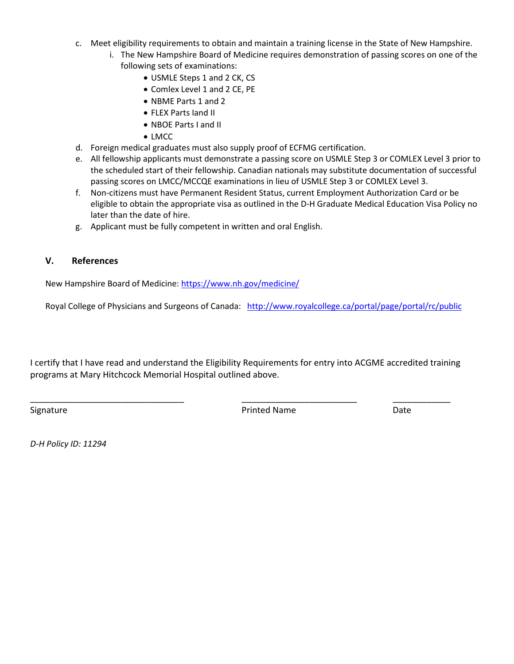- c. Meet eligibility requirements to obtain and maintain a training license in the State of New Hampshire.
	- i. The New Hampshire Board of Medicine requires demonstration of passing scores on one of the following sets of examinations:
		- USMLE Steps 1 and 2 CK, CS
		- Comlex Level 1 and 2 CE, PE
		- NBME Parts 1 and 2
		- FLEX Parts Iand II
		- NBOE Parts I and II
		- LMCC
- d. Foreign medical graduates must also supply proof of ECFMG certification.
- e. All fellowship applicants must demonstrate a passing score on USMLE Step 3 or COMLEX Level 3 prior to the scheduled start of their fellowship. Canadian nationals may substitute documentation of successful passing scores on LMCC/MCCQE examinations in lieu of USMLE Step 3 or COMLEX Level 3.
- f. Non-citizens must have Permanent Resident Status, current Employment Authorization Card or be eligible to obtain the appropriate visa as outlined in the D-H Graduate Medical Education Visa Policy no later than the date of hire.
- g. Applicant must be fully competent in written and oral English.

## **V. References**

New Hampshire Board of Medicine:<https://www.nh.gov/medicine/>

Royal College of Physicians and Surgeons of Canada: <http://www.royalcollege.ca/portal/page/portal/rc/public>

I certify that I have read and understand the Eligibility Requirements for entry into ACGME accredited training programs at Mary Hitchcock Memorial Hospital outlined above.

\_\_\_\_\_\_\_\_\_\_\_\_\_\_\_\_\_\_\_\_\_\_\_\_\_\_\_\_\_\_\_\_ \_\_\_\_\_\_\_\_\_\_\_\_\_\_\_\_\_\_\_\_\_\_\_\_ \_\_\_\_\_\_\_\_\_\_\_\_

Signature **Date Date Printed Name Date Date** 

*D-H Policy ID: 11294*